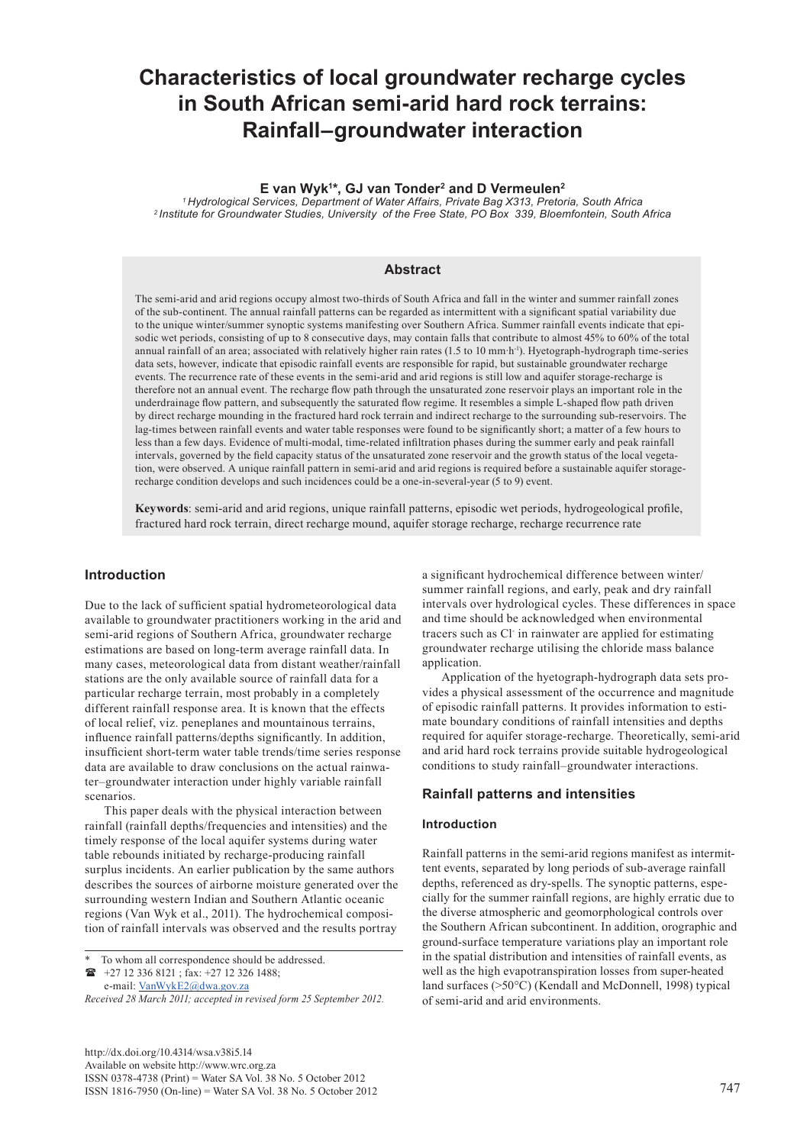# **Characteristics of local groundwater recharge cycles in South African semi-arid hard rock terrains: Rainfall–groundwater interaction**

## **E van Wyk1 \*, GJ van Tonder2 and D Vermeulen2**

*<sup>1</sup> Hydrological Services, Department of Water Affairs, Private Bag X313, Pretoria, South Africa <sup>2</sup> Institute for Groundwater Studies, University of the Free State, PO Box 339, Bloemfontein, South Africa*

### **Abstract**

The semi-arid and arid regions occupy almost two-thirds of South Africa and fall in the winter and summer rainfall zones of the sub-continent. The annual rainfall patterns can be regarded as intermittent with a significant spatial variability due to the unique winter/summer synoptic systems manifesting over Southern Africa. Summer rainfall events indicate that episodic wet periods, consisting of up to 8 consecutive days, may contain falls that contribute to almost 45% to 60% of the total annual rainfall of an area; associated with relatively higher rain rates (1.5 to 10 mm·h-1). Hyetograph-hydrograph time-series data sets, however, indicate that episodic rainfall events are responsible for rapid, but sustainable groundwater recharge events. The recurrence rate of these events in the semi-arid and arid regions is still low and aquifer storage-recharge is therefore not an annual event. The recharge flow path through the unsaturated zone reservoir plays an important role in the underdrainage flow pattern, and subsequently the saturated flow regime. It resembles a simple L-shaped flow path driven by direct recharge mounding in the fractured hard rock terrain and indirect recharge to the surrounding sub-reservoirs. The lag-times between rainfall events and water table responses were found to be significantly short; a matter of a few hours to less than a few days. Evidence of multi-modal, time-related infiltration phases during the summer early and peak rainfall intervals, governed by the field capacity status of the unsaturated zone reservoir and the growth status of the local vegetation, were observed. A unique rainfall pattern in semi-arid and arid regions is required before a sustainable aquifer storagerecharge condition develops and such incidences could be a one-in-several-year (5 to 9) event.

**Keywords**: semi-arid and arid regions, unique rainfall patterns, episodic wet periods, hydrogeological profile, fractured hard rock terrain, direct recharge mound, aquifer storage recharge, recharge recurrence rate

#### **Introduction**

Due to the lack of sufficient spatial hydrometeorological data available to groundwater practitioners working in the arid and semi-arid regions of Southern Africa, groundwater recharge estimations are based on long-term average rainfall data. In many cases, meteorological data from distant weather/rainfall stations are the only available source of rainfall data for a particular recharge terrain, most probably in a completely different rainfall response area. It is known that the effects of local relief, viz. peneplanes and mountainous terrains, influence rainfall patterns/depths significantly. In addition, insufficient short-term water table trends/time series response data are available to draw conclusions on the actual rainwater–groundwater interaction under highly variable rainfall scenarios.

This paper deals with the physical interaction between rainfall (rainfall depths/frequencies and intensities) and the timely response of the local aquifer systems during water table rebounds initiated by recharge-producing rainfall surplus incidents. An earlier publication by the same authors describes the sources of airborne moisture generated over the surrounding western Indian and Southern Atlantic oceanic regions (Van Wyk et al., 2011). The hydrochemical composition of rainfall intervals was observed and the results portray

 +27 12 336 8121 ; fax: +27 12 326 1488; e-mail: VanWykE2@dwa.gov.za

[http://dx.doi.org/10.4314/wsa.v38i5.14](http://dx.doi.org/10.4314/wsa.v37i4.18) Available on website http://www.wrc.org.za ISSN 0378-4738 (Print) = Water SA Vol. 38 No. 5 October 2012 ISSN 1816-7950 (On-line) = Water SA Vol. 38 No. 5 October 2012 747

a significant hydrochemical difference between winter/ summer rainfall regions, and early, peak and dry rainfall intervals over hydrological cycles. These differences in space and time should be acknowledged when environmental tracers such as Cl- in rainwater are applied for estimating groundwater recharge utilising the chloride mass balance application.

Application of the hyetograph-hydrograph data sets provides a physical assessment of the occurrence and magnitude of episodic rainfall patterns. It provides information to estimate boundary conditions of rainfall intensities and depths required for aquifer storage-recharge. Theoretically, semi-arid and arid hard rock terrains provide suitable hydrogeological conditions to study rainfall–groundwater interactions.

#### **Rainfall patterns and intensities**

#### **Introduction**

Rainfall patterns in the semi-arid regions manifest as intermittent events, separated by long periods of sub-average rainfall depths, referenced as dry-spells. The synoptic patterns, especially for the summer rainfall regions, are highly erratic due to the diverse atmospheric and geomorphological controls over the Southern African subcontinent. In addition, orographic and ground-surface temperature variations play an important role in the spatial distribution and intensities of rainfall events, as well as the high evapotranspiration losses from super-heated land surfaces (>50°C) (Kendall and McDonnell, 1998) typical of semi-arid and arid environments.

To whom all correspondence should be addressed.

*Received 28 March 2011; accepted in revised form 25 September 2012.*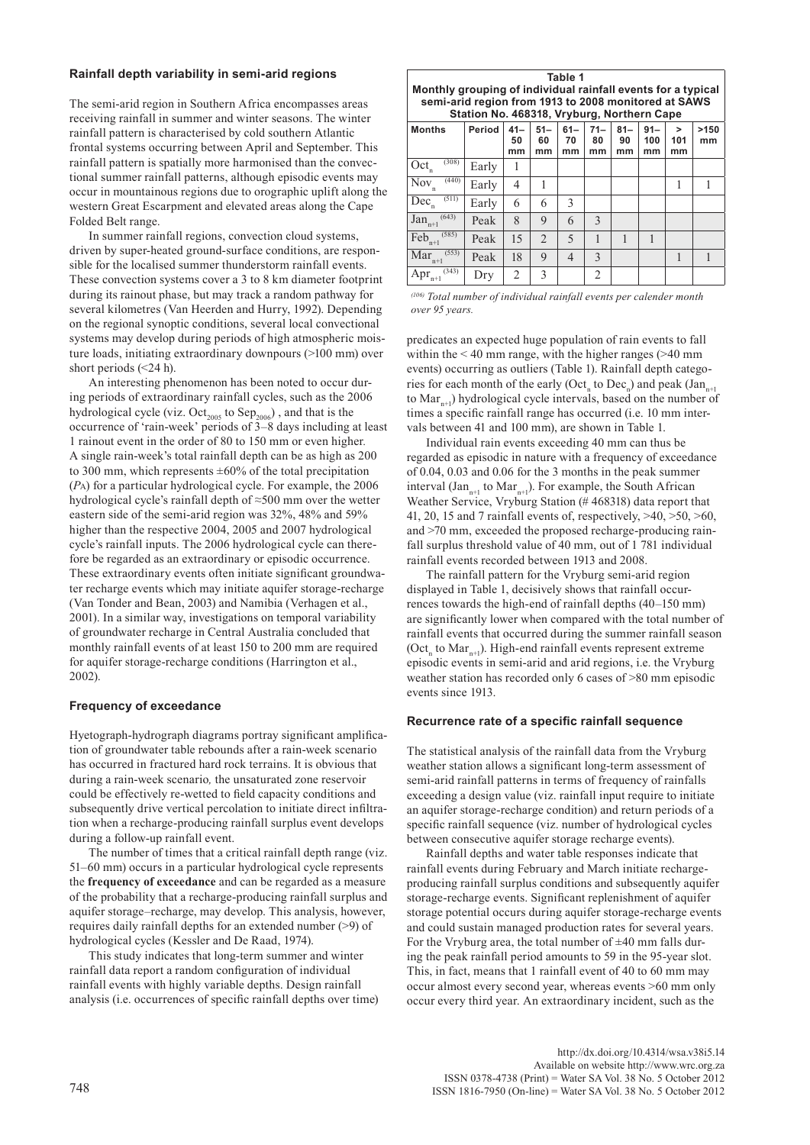#### **Rainfall depth variability in semi-arid regions**

The semi-arid region in Southern Africa encompasses areas receiving rainfall in summer and winter seasons. The winter rainfall pattern is characterised by cold southern Atlantic frontal systems occurring between April and September. This rainfall pattern is spatially more harmonised than the convectional summer rainfall patterns, although episodic events may occur in mountainous regions due to orographic uplift along the western Great Escarpment and elevated areas along the Cape Folded Belt range.

In summer rainfall regions, convection cloud systems, driven by super-heated ground-surface conditions, are responsible for the localised summer thunderstorm rainfall events. These convection systems cover a 3 to 8 km diameter footprint during its rainout phase, but may track a random pathway for several kilometres (Van Heerden and Hurry, 1992). Depending on the regional synoptic conditions, several local convectional systems may develop during periods of high atmospheric moisture loads, initiating extraordinary downpours (>100 mm) over short periods (<24 h).

An interesting phenomenon has been noted to occur during periods of extraordinary rainfall cycles, such as the 2006 hydrological cycle (viz.  $\text{Oct}_{2005}$  to  $\text{Sep}_{2006}$ ), and that is the occurrence of 'rain-week' periods of 3–8 days including at least 1 rainout event in the order of 80 to 150 mm or even higher*.* A single rain-week's total rainfall depth can be as high as 200 to 300 mm, which represents  $\pm 60\%$  of the total precipitation (*P*a) for a particular hydrological cycle. For example, the 2006 hydrological cycle's rainfall depth of ≈500 mm over the wetter eastern side of the semi-arid region was 32%, 48% and 59% higher than the respective 2004, 2005 and 2007 hydrological cycle's rainfall inputs. The 2006 hydrological cycle can therefore be regarded as an extraordinary or episodic occurrence. These extraordinary events often initiate significant groundwater recharge events which may initiate aquifer storage-recharge (Van Tonder and Bean, 2003) and Namibia (Verhagen et al., 2001). In a similar way, investigations on temporal variability of groundwater recharge in Central Australia concluded that monthly rainfall events of at least 150 to 200 mm are required for aquifer storage-recharge conditions (Harrington et al., 2002).

#### **Frequency of exceedance**

Hyetograph-hydrograph diagrams portray significant amplification of groundwater table rebounds after a rain-week scenario has occurred in fractured hard rock terrains. It is obvious that during a rain-week scenario*,* the unsaturated zone reservoir could be effectively re-wetted to field capacity conditions and subsequently drive vertical percolation to initiate direct infiltration when a recharge-producing rainfall surplus event develops during a follow-up rainfall event.

The number of times that a critical rainfall depth range (viz. 51–60 mm) occurs in a particular hydrological cycle represents the **frequency of exceedance** and can be regarded as a measure of the probability that a recharge-producing rainfall surplus and aquifer storage–recharge, may develop. This analysis, however, requires daily rainfall depths for an extended number (>9) of hydrological cycles (Kessler and De Raad, 1974).

This study indicates that long-term summer and winter rainfall data report a random configuration of individual rainfall events with highly variable depths. Design rainfall analysis (i.e. occurrences of specific rainfall depths over time)

| Table 1                                                                                                                                                            |        |                    |                   |                    |                   |                 |                     |                |            |
|--------------------------------------------------------------------------------------------------------------------------------------------------------------------|--------|--------------------|-------------------|--------------------|-------------------|-----------------|---------------------|----------------|------------|
| Monthly grouping of individual rainfall events for a typical<br>semi-arid region from 1913 to 2008 monitored at SAWS<br>Station No. 468318, Vryburg, Northern Cape |        |                    |                   |                    |                   |                 |                     |                |            |
| <b>Months</b>                                                                                                                                                      | Period | $41 -$<br>50<br>mm | $51-$<br>60<br>mm | $61 -$<br>70<br>mm | $71-$<br>80<br>mm | 81-<br>90<br>mm | $91 -$<br>100<br>mm | ><br>101<br>mm | >150<br>mm |
| (308)<br>Oct <sub>1</sub>                                                                                                                                          | Early  | 1                  |                   |                    |                   |                 |                     |                |            |
| (440)<br><b>Nov</b>                                                                                                                                                | Early  | 4                  |                   |                    |                   |                 |                     | 1              |            |
| (511)<br>Dec                                                                                                                                                       | Early  | 6                  | 6                 | 3                  |                   |                 |                     |                |            |
| (643)<br>Jan<br>$n+1$                                                                                                                                              | Peak   | 8                  | 9                 | 6                  | $\mathcal{E}$     |                 |                     |                |            |
| (585)<br>Feb<br>$n+1$                                                                                                                                              | Peak   | 15                 | $\overline{2}$    | $\varsigma$        | 1                 | 1               | 1                   |                |            |
| (553)<br>Mar<br>$n+1$                                                                                                                                              | Peak   | 18                 | 9                 | 4                  | $\mathcal{E}$     |                 |                     |                |            |
| (343)<br>Apr<br>$n+1$                                                                                                                                              | Dry    | $\overline{c}$     | 3                 |                    | $\overline{c}$    |                 |                     |                |            |

*(106) Total number of individual rainfall events per calender month over 95 years.*

predicates an expected huge population of rain events to fall within the  $< 40$  mm range, with the higher ranges  $(>40$  mm events) occurring as outliers (Table 1). Rainfall depth categories for each month of the early (Oct<sub>n</sub> to Dec<sub>n</sub>) and peak (Jan<sub>n+1</sub>) to  $Mar_{n+1}$ ) hydrological cycle intervals, based on the number of times a specific rainfall range has occurred (i.e. 10 mm intervals between 41 and 100 mm), are shown in Table 1.

Individual rain events exceeding 40 mm can thus be regarded as episodic in nature with a frequency of exceedance of 0.04, 0.03 and 0.06 for the 3 months in the peak summer interval (Jan<sub>n+1</sub> to Mar<sub>n+1</sub>). For example, the South African Weather Service, Vryburg Station (# 468318) data report that 41, 20, 15 and 7 rainfall events of, respectively, >40, >50, >60, and >70 mm, exceeded the proposed recharge-producing rainfall surplus threshold value of 40 mm, out of 1 781 individual rainfall events recorded between 1913 and 2008.

The rainfall pattern for the Vryburg semi-arid region displayed in Table 1, decisively shows that rainfall occurrences towards the high-end of rainfall depths (40–150 mm) are significantly lower when compared with the total number of rainfall events that occurred during the summer rainfall season  $(Oct<sub>n</sub> to Mar<sub>n+1</sub>)$ . High-end rainfall events represent extreme episodic events in semi-arid and arid regions, i.e. the Vryburg weather station has recorded only 6 cases of >80 mm episodic events since 1913.

#### **Recurrence rate of a specific rainfall sequence**

The statistical analysis of the rainfall data from the Vryburg weather station allows a significant long-term assessment of semi-arid rainfall patterns in terms of frequency of rainfalls exceeding a design value (viz. rainfall input require to initiate an aquifer storage-recharge condition) and return periods of a specific rainfall sequence (viz. number of hydrological cycles between consecutive aquifer storage recharge events).

Rainfall depths and water table responses indicate that rainfall events during February and March initiate rechargeproducing rainfall surplus conditions and subsequently aquifer storage-recharge events. Significant replenishment of aquifer storage potential occurs during aquifer storage-recharge events and could sustain managed production rates for several years. For the Vryburg area, the total number of  $\pm 40$  mm falls during the peak rainfall period amounts to 59 in the 95-year slot. This, in fact, means that 1 rainfall event of 40 to 60 mm may occur almost every second year, whereas events >60 mm only occur every third year. An extraordinary incident, such as the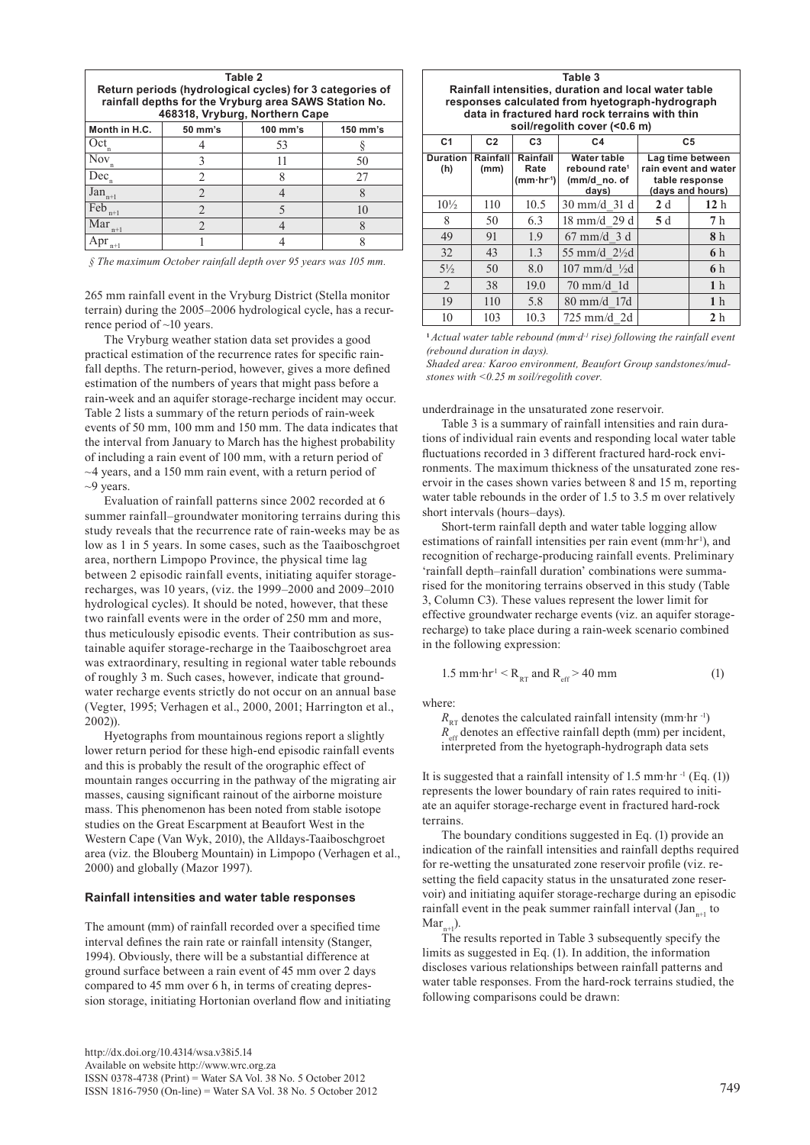| Table 2<br>Return periods (hydrological cycles) for 3 categories of<br>rainfall depths for the Vryburg area SAWS Station No.<br>468318, Vryburg, Northern Cape |           |          |          |  |  |  |  |
|----------------------------------------------------------------------------------------------------------------------------------------------------------------|-----------|----------|----------|--|--|--|--|
| Month in H.C.                                                                                                                                                  | $50$ mm's | 100 mm's | 150 mm's |  |  |  |  |
| Oct                                                                                                                                                            |           | 53       |          |  |  |  |  |
| <b>Nov</b>                                                                                                                                                     | 3         | 11       | 50       |  |  |  |  |
| Dec                                                                                                                                                            |           | 8        | 27       |  |  |  |  |
| $Jan_{n+1}$                                                                                                                                                    |           |          |          |  |  |  |  |
| Feb<br>$n+1$                                                                                                                                                   |           |          | 10       |  |  |  |  |
| Mar<br>$n+1$                                                                                                                                                   |           |          |          |  |  |  |  |
| An<br>$n+1$                                                                                                                                                    |           |          |          |  |  |  |  |

*§ The maximum October rainfall depth over 95 years was 105 mm.*

265 mm rainfall event in the Vryburg District (Stella monitor terrain) during the 2005–2006 hydrological cycle, has a recurrence period of ~10 years.

The Vryburg weather station data set provides a good practical estimation of the recurrence rates for specific rainfall depths. The return-period, however, gives a more defined estimation of the numbers of years that might pass before a rain-week and an aquifer storage-recharge incident may occur. Table 2 lists a summary of the return periods of rain-week events of 50 mm, 100 mm and 150 mm. The data indicates that the interval from January to March has the highest probability of including a rain event of 100 mm, with a return period of  $\sim$ 4 years, and a 150 mm rain event, with a return period of ~9 years.

Evaluation of rainfall patterns since 2002 recorded at 6 summer rainfall–groundwater monitoring terrains during this study reveals that the recurrence rate of rain-weeks may be as low as 1 in 5 years. In some cases, such as the Taaiboschgroet area, northern Limpopo Province, the physical time lag between 2 episodic rainfall events, initiating aquifer storagerecharges, was 10 years, (viz. the 1999–2000 and 2009–2010 hydrological cycles). It should be noted, however, that these two rainfall events were in the order of 250 mm and more, thus meticulously episodic events. Their contribution as sustainable aquifer storage-recharge in the Taaiboschgroet area was extraordinary, resulting in regional water table rebounds of roughly 3 m. Such cases, however, indicate that groundwater recharge events strictly do not occur on an annual base (Vegter, 1995; Verhagen et al., 2000, 2001; Harrington et al., 2002)).

Hyetographs from mountainous regions report a slightly lower return period for these high-end episodic rainfall events and this is probably the result of the orographic effect of mountain ranges occurring in the pathway of the migrating air masses, causing significant rainout of the airborne moisture mass. This phenomenon has been noted from stable isotope studies on the Great Escarpment at Beaufort West in the Western Cape (Van Wyk, 2010), the Alldays-Taaiboschgroet area (viz. the Blouberg Mountain) in Limpopo (Verhagen et al., 2000) and globally (Mazor 1997).

#### **Rainfall intensities and water table responses**

The amount (mm) of rainfall recorded over a specified time interval defines the rain rate or rainfall intensity (Stanger, 1994). Obviously, there will be a substantial difference at ground surface between a rain event of 45 mm over 2 days compared to 45 mm over 6 h, in terms of creating depression storage, initiating Hortonian overland flow and initiating

| Table 3<br>Rainfall intensities, duration and local water table<br>responses calculated from hyetograph-hydrograph<br>data in fractured hard rock terrains with thin<br>soil/regolith cover (<0.6 m) |                                  |                                           |                                                                   |                                                                                |                 |  |  |
|------------------------------------------------------------------------------------------------------------------------------------------------------------------------------------------------------|----------------------------------|-------------------------------------------|-------------------------------------------------------------------|--------------------------------------------------------------------------------|-----------------|--|--|
| C <sub>1</sub>                                                                                                                                                                                       | C <sub>2</sub><br>C <sub>3</sub> |                                           | C4                                                                | C5                                                                             |                 |  |  |
| <b>Duration</b><br>(h)                                                                                                                                                                               | Rainfall<br>(mm)                 | Rainfall<br>Rate<br>$(mm\cdot hr\cdot 1)$ | Water table<br>rebound rate <sup>1</sup><br>(mm/d no. of<br>days) | Lag time between<br>rain event and water<br>table response<br>(days and hours) |                 |  |  |
| $10\frac{1}{2}$                                                                                                                                                                                      | 110                              | 10.5                                      | $30$ mm/d $31$ d                                                  | 2 d                                                                            | 12 <sub>h</sub> |  |  |
| 8                                                                                                                                                                                                    | 50                               | 6.3                                       | $18 \text{ mm/d}$ 29 d                                            | 5 d                                                                            | 7 h             |  |  |
| 49                                                                                                                                                                                                   | 91                               | 1.9                                       | $67$ mm/d $3$ d                                                   |                                                                                | 8 h             |  |  |
| 32                                                                                                                                                                                                   | 43                               | 1.3                                       | 55 mm/d $2\frac{1}{2}d$                                           |                                                                                | 6 <sup>h</sup>  |  |  |
| $5\frac{1}{2}$                                                                                                                                                                                       | 50                               | 8.0                                       | $107$ mm/d $\frac{1}{2}$ d                                        |                                                                                | 6 <sup>h</sup>  |  |  |
| $\overline{c}$                                                                                                                                                                                       | 38                               | 19.0                                      | $70$ mm/d 1d                                                      |                                                                                | 1 <sub>h</sub>  |  |  |
| 19                                                                                                                                                                                                   | 110                              | 5.8                                       | 80 mm/d 17d                                                       |                                                                                | 1 <sub>h</sub>  |  |  |
| 10                                                                                                                                                                                                   | 103                              | 10.3                                      | 725 mm/d 2d                                                       |                                                                                | 2 <sub>h</sub>  |  |  |

**<sup>1</sup>***Actual water table rebound (mm·d-1 rise) following the rainfall event (rebound duration in days).*

*Shaded area: Karoo environment, Beaufort Group sandstones/mudstones with <0.25 m soil/regolith cover.*

#### underdrainage in the unsaturated zone reservoir.

Table 3 is a summary of rainfall intensities and rain durations of individual rain events and responding local water table fluctuations recorded in 3 different fractured hard-rock environments. The maximum thickness of the unsaturated zone reservoir in the cases shown varies between 8 and 15 m, reporting water table rebounds in the order of 1.5 to 3.5 m over relatively short intervals (hours–days).

Short-term rainfall depth and water table logging allow estimations of rainfall intensities per rain event (mm·hr<sup>1</sup>), and recognition of recharge-producing rainfall events. Preliminary 'rainfall depth–rainfall duration' combinations were summarised for the monitoring terrains observed in this study (Table 3, Column C3). These values represent the lower limit for effective groundwater recharge events (viz. an aquifer storagerecharge) to take place during a rain-week scenario combined in the following expression:

$$
1.5 \text{ mm-hr}^{-1} < R_{RT} \text{ and } R_{eff} > 40 \text{ mm} \tag{1}
$$

where:

 $R_{RT}$  denotes the calculated rainfall intensity (mm·hr<sup>-1</sup>)  $R_{\text{eff}}$  denotes an effective rainfall depth (mm) per incident, interpreted from the hyetograph-hydrograph data sets

It is suggested that a rainfall intensity of 1.5 mm·hr<sup>-1</sup> (Eq.  $(1)$ ) represents the lower boundary of rain rates required to initiate an aquifer storage-recharge event in fractured hard-rock terrains.

The boundary conditions suggested in Eq. (1) provide an indication of the rainfall intensities and rainfall depths required for re-wetting the unsaturated zone reservoir profile (viz. resetting the field capacity status in the unsaturated zone reservoir) and initiating aquifer storage-recharge during an episodic rainfall event in the peak summer rainfall interval  $\left($  Jan<sub>n+1</sub> to  $Mar_{n+1}$ ).

The results reported in Table 3 subsequently specify the limits as suggested in Eq. (1). In addition, the information discloses various relationships between rainfall patterns and water table responses. From the hard-rock terrains studied, the following comparisons could be drawn: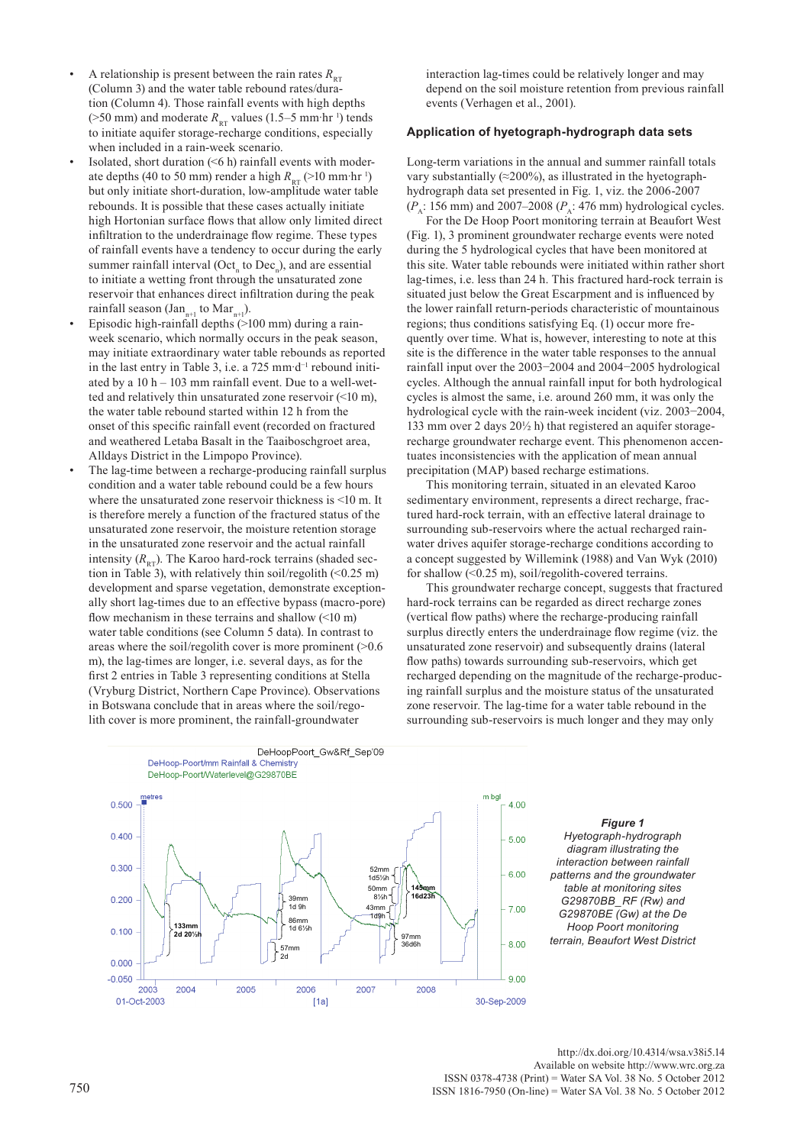- A relationship is present between the rain rates  $R_{\text{pr}}$ (Column 3) and the water table rebound rates/duration (Column 4). Those rainfall events with high depths ( $>50$  mm) and moderate  $R_{\text{RT}}$  values (1.5–5 mm·hr<sup>-1</sup>) tends to initiate aquifer storage-recharge conditions, especially when included in a rain-week scenario.
- Isolated, short duration  $(66 h)$  rainfall events with moderate depths (40 to 50 mm) render a high  $R_{RT}$  (>10 mm·hr<sup>1</sup>) but only initiate short-duration, low-amplitude water table rebounds. It is possible that these cases actually initiate high Hortonian surface flows that allow only limited direct infiltration to the underdrainage flow regime. These types of rainfall events have a tendency to occur during the early summer rainfall interval ( $Oct<sub>n</sub>$  to  $Dec<sub>n</sub>$ ), and are essential to initiate a wetting front through the unsaturated zone reservoir that enhances direct infiltration during the peak rainfall season (Jan<sub>n+1</sub> to Mar<sub>n+1</sub>).
- Episodic high-rainfall depths (>100 mm) during a rainweek scenario, which normally occurs in the peak season, may initiate extraordinary water table rebounds as reported in the last entry in Table 3, i.e. a 725 mm·d−1 rebound initiated by a  $10 h - 103$  mm rainfall event. Due to a well-wetted and relatively thin unsaturated zone reservoir (<10 m), the water table rebound started within 12 h from the onset of this specific rainfall event (recorded on fractured and weathered Letaba Basalt in the Taaiboschgroet area, Alldays District in the Limpopo Province).
- The lag-time between a recharge-producing rainfall surplus condition and a water table rebound could be a few hours where the unsaturated zone reservoir thickness is <10 m. It is therefore merely a function of the fractured status of the unsaturated zone reservoir, the moisture retention storage in the unsaturated zone reservoir and the actual rainfall intensity  $(R_{RT})$ . The Karoo hard-rock terrains (shaded section in Table 3), with relatively thin soil/regolith  $($  <0.25 m) development and sparse vegetation, demonstrate exceptionally short lag-times due to an effective bypass (macro-pore) flow mechanism in these terrains and shallow  $(\leq 10 \text{ m})$ water table conditions (see Column 5 data). In contrast to areas where the soil/regolith cover is more prominent (>0.6 m), the lag-times are longer, i.e. several days, as for the first 2 entries in Table 3 representing conditions at Stella (Vryburg District, Northern Cape Province). Observations in Botswana conclude that in areas where the soil/regolith cover is more prominent, the rainfall-groundwater

interaction lag-times could be relatively longer and may depend on the soil moisture retention from previous rainfall events (Verhagen et al., 2001).

## **Application of hyetograph-hydrograph data sets**

Long-term variations in the annual and summer rainfall totals vary substantially ( $\approx$ 200%), as illustrated in the hyetographhydrograph data set presented in Fig. 1, viz. the 2006-2007  $P_{\rm A}$ : 156 mm) and 2007–2008 ( $P_{\rm A}$ : 476 mm) hydrological cycles.

For the De Hoop Poort monitoring terrain at Beaufort West (Fig. 1), 3 prominent groundwater recharge events were noted during the 5 hydrological cycles that have been monitored at this site. Water table rebounds were initiated within rather short lag-times, i.e. less than 24 h. This fractured hard-rock terrain is situated just below the Great Escarpment and is influenced by the lower rainfall return-periods characteristic of mountainous regions; thus conditions satisfying Eq. (1) occur more frequently over time. What is, however, interesting to note at this site is the difference in the water table responses to the annual rainfall input over the 2003−2004 and 2004−2005 hydrological cycles. Although the annual rainfall input for both hydrological cycles is almost the same, i.e. around 260 mm, it was only the hydrological cycle with the rain-week incident (viz. 2003−2004, 133 mm over 2 days 20½ h) that registered an aquifer storagerecharge groundwater recharge event. This phenomenon accentuates inconsistencies with the application of mean annual precipitation (MAP) based recharge estimations.

This monitoring terrain, situated in an elevated Karoo sedimentary environment, represents a direct recharge, fractured hard-rock terrain, with an effective lateral drainage to surrounding sub-reservoirs where the actual recharged rainwater drives aquifer storage-recharge conditions according to a concept suggested by Willemink (1988) and Van Wyk (2010) for shallow (<0.25 m), soil/regolith-covered terrains.

This groundwater recharge concept, suggests that fractured hard-rock terrains can be regarded as direct recharge zones (vertical flow paths) where the recharge-producing rainfall surplus directly enters the underdrainage flow regime (viz. the unsaturated zone reservoir) and subsequently drains (lateral flow paths) towards surrounding sub-reservoirs, which get recharged depending on the magnitude of the recharge-producing rainfall surplus and the moisture status of the unsaturated zone reservoir. The lag-time for a water table rebound in the surrounding sub-reservoirs is much longer and they may only



DeHoopPoort\_Gw&Rf\_Sep'09

*Figure 1 Hyetograph-hydrograph diagram illustrating the interaction between rainfall patterns and the groundwater table at monitoring sites G29870BB\_RF (Rw) and G29870BE (Gw) at the De Hoop Poort monitoring terrain, Beaufort West District*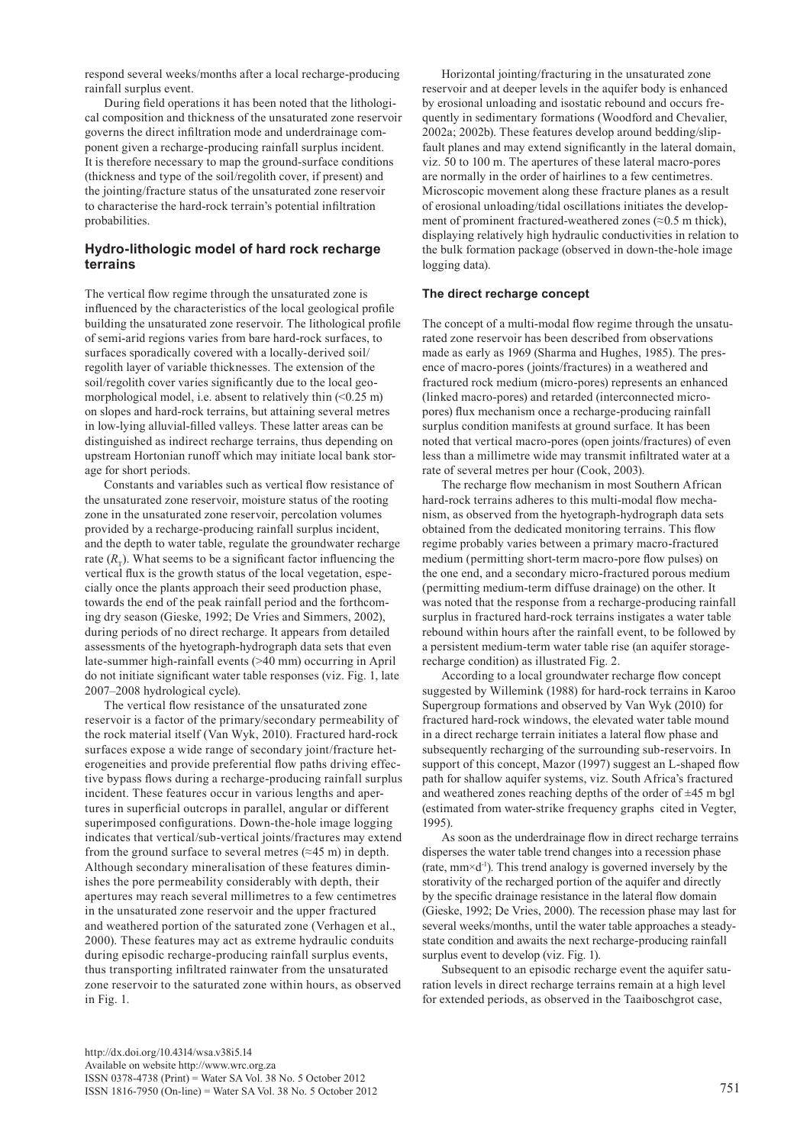respond several weeks/months after a local recharge-producing rainfall surplus event.

During field operations it has been noted that the lithological composition and thickness of the unsaturated zone reservoir governs the direct infiltration mode and underdrainage component given a recharge-producing rainfall surplus incident. It is therefore necessary to map the ground-surface conditions (thickness and type of the soil/regolith cover, if present) and the jointing/fracture status of the unsaturated zone reservoir to characterise the hard-rock terrain's potential infiltration probabilities.

## **Hydro-lithologic model of hard rock recharge terrains**

The vertical flow regime through the unsaturated zone is influenced by the characteristics of the local geological profile building the unsaturated zone reservoir. The lithological profile of semi-arid regions varies from bare hard-rock surfaces, to surfaces sporadically covered with a locally-derived soil/ regolith layer of variable thicknesses. The extension of the soil/regolith cover varies significantly due to the local geomorphological model, i.e. absent to relatively thin  $(0.25 \text{ m})$ on slopes and hard-rock terrains, but attaining several metres in low-lying alluvial-filled valleys. These latter areas can be distinguished as indirect recharge terrains, thus depending on upstream Hortonian runoff which may initiate local bank storage for short periods.

Constants and variables such as vertical flow resistance of the unsaturated zone reservoir, moisture status of the rooting zone in the unsaturated zone reservoir, percolation volumes provided by a recharge-producing rainfall surplus incident, and the depth to water table, regulate the groundwater recharge rate  $(R<sub>x</sub>)$ . What seems to be a significant factor influencing the vertical flux is the growth status of the local vegetation, especially once the plants approach their seed production phase, towards the end of the peak rainfall period and the forthcoming dry season (Gieske, 1992; De Vries and Simmers, 2002), during periods of no direct recharge. It appears from detailed assessments of the hyetograph-hydrograph data sets that even late-summer high-rainfall events (>40 mm) occurring in April do not initiate significant water table responses (viz. Fig. 1, late 2007–2008 hydrological cycle).

The vertical flow resistance of the unsaturated zone reservoir is a factor of the primary/secondary permeability of the rock material itself (Van Wyk, 2010). Fractured hard-rock surfaces expose a wide range of secondary joint/fracture heterogeneities and provide preferential flow paths driving effective bypass flows during a recharge-producing rainfall surplus incident. These features occur in various lengths and apertures in superficial outcrops in parallel, angular or different superimposed configurations. Down-the-hole image logging indicates that vertical/sub-vertical joints/fractures may extend from the ground surface to several metres  $(\approx 45 \text{ m})$  in depth. Although secondary mineralisation of these features diminishes the pore permeability considerably with depth, their apertures may reach several millimetres to a few centimetres in the unsaturated zone reservoir and the upper fractured and weathered portion of the saturated zone (Verhagen et al., 2000). These features may act as extreme hydraulic conduits during episodic recharge-producing rainfall surplus events, thus transporting infiltrated rainwater from the unsaturated zone reservoir to the saturated zone within hours, as observed in Fig. 1.

Horizontal jointing/fracturing in the unsaturated zone reservoir and at deeper levels in the aquifer body is enhanced by erosional unloading and isostatic rebound and occurs frequently in sedimentary formations (Woodford and Chevalier, 2002a; 2002b). These features develop around bedding/slipfault planes and may extend significantly in the lateral domain, viz. 50 to 100 m. The apertures of these lateral macro-pores are normally in the order of hairlines to a few centimetres. Microscopic movement along these fracture planes as a result of erosional unloading/tidal oscillations initiates the development of prominent fractured-weathered zones ( $\approx$ 0.5 m thick), displaying relatively high hydraulic conductivities in relation to the bulk formation package (observed in down-the-hole image logging data).

#### **The direct recharge concept**

The concept of a multi-modal flow regime through the unsaturated zone reservoir has been described from observations made as early as 1969 (Sharma and Hughes, 1985). The presence of macro-pores (joints/fractures) in a weathered and fractured rock medium (micro-pores) represents an enhanced (linked macro-pores) and retarded (interconnected micropores) flux mechanism once a recharge-producing rainfall surplus condition manifests at ground surface. It has been noted that vertical macro-pores (open joints/fractures) of even less than a millimetre wide may transmit infiltrated water at a rate of several metres per hour (Cook, 2003).

The recharge flow mechanism in most Southern African hard-rock terrains adheres to this multi-modal flow mechanism, as observed from the hyetograph-hydrograph data sets obtained from the dedicated monitoring terrains. This flow regime probably varies between a primary macro-fractured medium (permitting short-term macro-pore flow pulses) on the one end, and a secondary micro-fractured porous medium (permitting medium-term diffuse drainage) on the other. It was noted that the response from a recharge-producing rainfall surplus in fractured hard-rock terrains instigates a water table rebound within hours after the rainfall event, to be followed by a persistent medium-term water table rise (an aquifer storagerecharge condition) as illustrated Fig. 2.

According to a local groundwater recharge flow concept suggested by Willemink (1988) for hard-rock terrains in Karoo Supergroup formations and observed by Van Wyk (2010) for fractured hard-rock windows, the elevated water table mound in a direct recharge terrain initiates a lateral flow phase and subsequently recharging of the surrounding sub-reservoirs. In support of this concept, Mazor (1997) suggest an L-shaped flow path for shallow aquifer systems, viz. South Africa's fractured and weathered zones reaching depths of the order of  $\pm 45$  m bgl (estimated from water-strike frequency graphs cited in Vegter, 1995).

As soon as the underdrainage flow in direct recharge terrains disperses the water table trend changes into a recession phase (rate,  $mm \times d^{-1}$ ). This trend analogy is governed inversely by the storativity of the recharged portion of the aquifer and directly by the specific drainage resistance in the lateral flow domain (Gieske, 1992; De Vries, 2000). The recession phase may last for several weeks/months, until the water table approaches a steadystate condition and awaits the next recharge-producing rainfall surplus event to develop (viz. Fig. 1).

Subsequent to an episodic recharge event the aquifer saturation levels in direct recharge terrains remain at a high level for extended periods, as observed in the Taaiboschgrot case,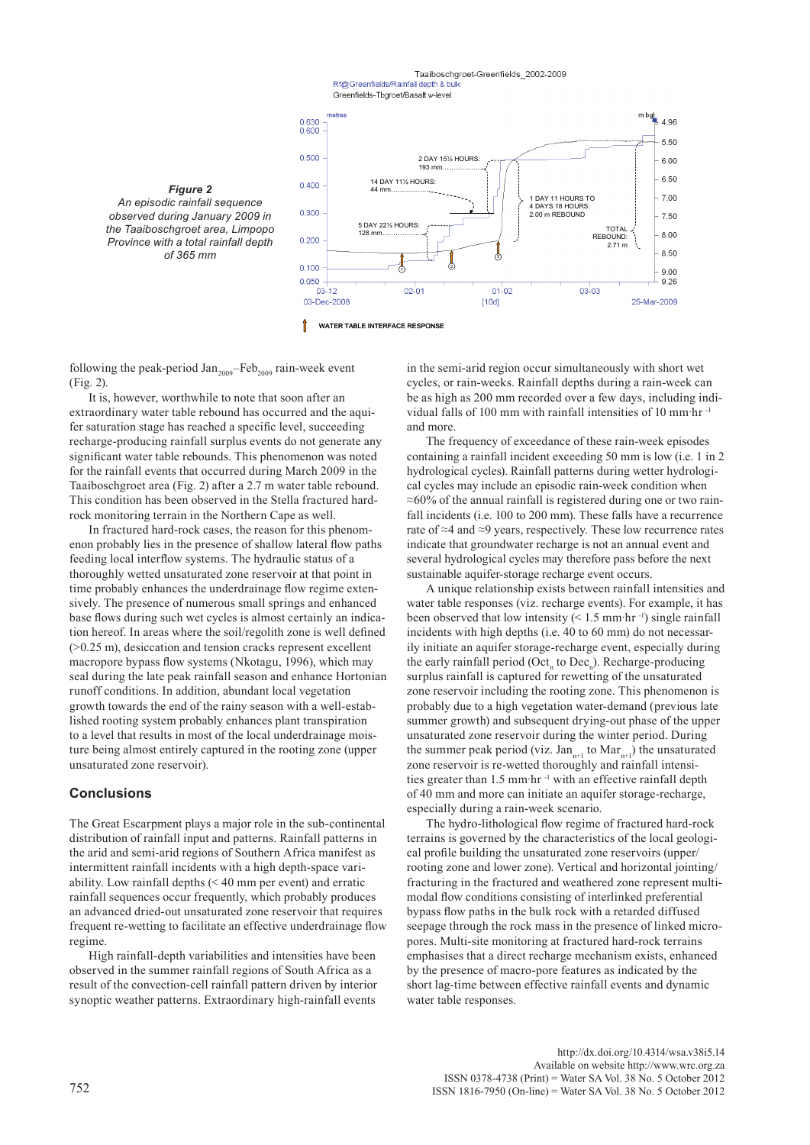

following the peak-period  $Jan_{2009}$ –Feb<sub>2009</sub> rain-week event  $(Fi\sigma 2)$ 

It is, however, worthwhile to note that soon after an extraordinary water table rebound has occurred and the aquifer saturation stage has reached a specific level, succeeding recharge-producing rainfall surplus events do not generate any significant water table rebounds. This phenomenon was noted for the rainfall events that occurred during March 2009 in the Taaiboschgroet area (Fig. 2) after a 2.7 m water table rebound. This condition has been observed in the Stella fractured hardrock monitoring terrain in the Northern Cape as well.

In fractured hard-rock cases, the reason for this phenomenon probably lies in the presence of shallow lateral flow paths feeding local interflow systems. The hydraulic status of a thoroughly wetted unsaturated zone reservoir at that point in time probably enhances the underdrainage flow regime extensively. The presence of numerous small springs and enhanced base flows during such wet cycles is almost certainly an indication hereof. In areas where the soil/regolith zone is well defined (>0.25 m), desiccation and tension cracks represent excellent macropore bypass flow systems (Nkotagu, 1996), which may seal during the late peak rainfall season and enhance Hortonian runoff conditions. In addition, abundant local vegetation growth towards the end of the rainy season with a well-established rooting system probably enhances plant transpiration to a level that results in most of the local underdrainage moisture being almost entirely captured in the rooting zone (upper unsaturated zone reservoir).

## **Conclusions**

The Great Escarpment plays a major role in the sub-continental distribution of rainfall input and patterns. Rainfall patterns in the arid and semi-arid regions of Southern Africa manifest as intermittent rainfall incidents with a high depth-space variability. Low rainfall depths (< 40 mm per event) and erratic rainfall sequences occur frequently, which probably produces an advanced dried-out unsaturated zone reservoir that requires frequent re-wetting to facilitate an effective underdrainage flow regime.

High rainfall-depth variabilities and intensities have been observed in the summer rainfall regions of South Africa as a result of the convection-cell rainfall pattern driven by interior synoptic weather patterns. Extraordinary high-rainfall events

in the semi-arid region occur simultaneously with short wet cycles, or rain-weeks. Rainfall depths during a rain-week can be as high as 200 mm recorded over a few days, including individual falls of 100 mm with rainfall intensities of 10 mm·hr -1 and more.

The frequency of exceedance of these rain-week episodes containing a rainfall incident exceeding 50 mm is low (i.e. 1 in 2 hydrological cycles). Rainfall patterns during wetter hydrological cycles may include an episodic rain-week condition when ≈60% of the annual rainfall is registered during one or two rainfall incidents (i.e. 100 to 200 mm). These falls have a recurrence rate of ≈4 and ≈9 years, respectively. These low recurrence rates indicate that groundwater recharge is not an annual event and several hydrological cycles may therefore pass before the next sustainable aquifer-storage recharge event occurs.

A unique relationship exists between rainfall intensities and water table responses (viz. recharge events). For example, it has been observed that low intensity  $(< 1.5$  mm·hr·l single rainfall incidents with high depths (i.e. 40 to 60 mm) do not necessarily initiate an aquifer storage-recharge event, especially during the early rainfall period ( $Oct<sub>n</sub>$  to  $Dec<sub>n</sub>$ ). Recharge-producing surplus rainfall is captured for rewetting of the unsaturated zone reservoir including the rooting zone. This phenomenon is probably due to a high vegetation water-demand (previous late summer growth) and subsequent drying-out phase of the upper unsaturated zone reservoir during the winter period. During the summer peak period (viz. Jan<sub>n+1</sub> to Mar<sub>n+1</sub>) the unsaturated zone reservoir is re-wetted thoroughly and rainfall intensities greater than 1.5 mm·hr<sup>-1</sup> with an effective rainfall depth of 40 mm and more can initiate an aquifer storage-recharge, especially during a rain-week scenario.

The hydro-lithological flow regime of fractured hard-rock terrains is governed by the characteristics of the local geological profile building the unsaturated zone reservoirs (upper/ rooting zone and lower zone). Vertical and horizontal jointing/ fracturing in the fractured and weathered zone represent multimodal flow conditions consisting of interlinked preferential bypass flow paths in the bulk rock with a retarded diffused seepage through the rock mass in the presence of linked micropores. Multi-site monitoring at fractured hard-rock terrains emphasises that a direct recharge mechanism exists, enhanced by the presence of macro-pore features as indicated by the short lag-time between effective rainfall events and dynamic water table responses.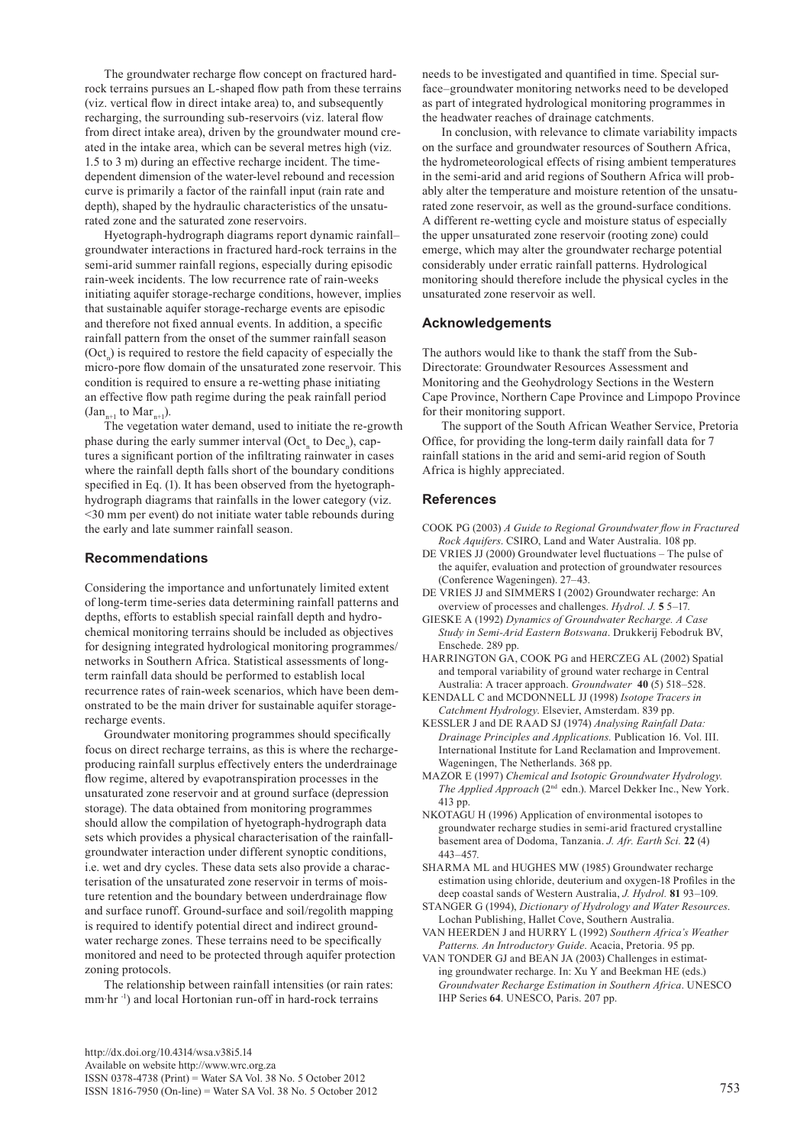The groundwater recharge flow concept on fractured hardrock terrains pursues an L-shaped flow path from these terrains (viz. vertical flow in direct intake area) to, and subsequently recharging, the surrounding sub-reservoirs (viz. lateral flow from direct intake area), driven by the groundwater mound created in the intake area, which can be several metres high (viz. 1.5 to 3 m) during an effective recharge incident. The timedependent dimension of the water-level rebound and recession curve is primarily a factor of the rainfall input (rain rate and depth), shaped by the hydraulic characteristics of the unsaturated zone and the saturated zone reservoirs.

Hyetograph-hydrograph diagrams report dynamic rainfall– groundwater interactions in fractured hard-rock terrains in the semi-arid summer rainfall regions, especially during episodic rain-week incidents. The low recurrence rate of rain-weeks initiating aquifer storage-recharge conditions, however, implies that sustainable aquifer storage-recharge events are episodic and therefore not fixed annual events. In addition, a specific rainfall pattern from the onset of the summer rainfall season  $(Oct<sub>n</sub>)$  is required to restore the field capacity of especially the micro-pore flow domain of the unsaturated zone reservoir. This condition is required to ensure a re-wetting phase initiating an effective flow path regime during the peak rainfall period  $(Jan_{n+1}$  to Mar<sub>n+1</sub>).

The vegetation water demand, used to initiate the re-growth phase during the early summer interval  $(Oct<sub>n</sub>$  to  $Dec<sub>n</sub>)$ , captures a significant portion of the infiltrating rainwater in cases where the rainfall depth falls short of the boundary conditions specified in Eq. (1). It has been observed from the hyetographhydrograph diagrams that rainfalls in the lower category (viz. <30 mm per event) do not initiate water table rebounds during the early and late summer rainfall season.

## **Recommendations**

Considering the importance and unfortunately limited extent of long-term time-series data determining rainfall patterns and depths, efforts to establish special rainfall depth and hydrochemical monitoring terrains should be included as objectives for designing integrated hydrological monitoring programmes/ networks in Southern Africa. Statistical assessments of longterm rainfall data should be performed to establish local recurrence rates of rain-week scenarios, which have been demonstrated to be the main driver for sustainable aquifer storagerecharge events.

Groundwater monitoring programmes should specifically focus on direct recharge terrains, as this is where the rechargeproducing rainfall surplus effectively enters the underdrainage flow regime, altered by evapotranspiration processes in the unsaturated zone reservoir and at ground surface (depression storage). The data obtained from monitoring programmes should allow the compilation of hyetograph-hydrograph data sets which provides a physical characterisation of the rainfallgroundwater interaction under different synoptic conditions, i.e. wet and dry cycles. These data sets also provide a characterisation of the unsaturated zone reservoir in terms of moisture retention and the boundary between underdrainage flow and surface runoff. Ground-surface and soil/regolith mapping is required to identify potential direct and indirect groundwater recharge zones. These terrains need to be specifically monitored and need to be protected through aquifer protection zoning protocols.

The relationship between rainfall intensities (or rain rates: mm·hr<sup>-1</sup>) and local Hortonian run-off in hard-rock terrains

needs to be investigated and quantified in time. Special surface–groundwater monitoring networks need to be developed as part of integrated hydrological monitoring programmes in the headwater reaches of drainage catchments.

In conclusion, with relevance to climate variability impacts on the surface and groundwater resources of Southern Africa, the hydrometeorological effects of rising ambient temperatures in the semi-arid and arid regions of Southern Africa will probably alter the temperature and moisture retention of the unsaturated zone reservoir, as well as the ground-surface conditions. A different re-wetting cycle and moisture status of especially the upper unsaturated zone reservoir (rooting zone) could emerge, which may alter the groundwater recharge potential considerably under erratic rainfall patterns. Hydrological monitoring should therefore include the physical cycles in the unsaturated zone reservoir as well.

# **Acknowledgements**

The authors would like to thank the staff from the Sub-Directorate: Groundwater Resources Assessment and Monitoring and the Geohydrology Sections in the Western Cape Province, Northern Cape Province and Limpopo Province for their monitoring support.

The support of the South African Weather Service, Pretoria Office, for providing the long-term daily rainfall data for 7 rainfall stations in the arid and semi-arid region of South Africa is highly appreciated.

# **References**

- COOK PG (2003) *A Guide to Regional Groundwater flow in Fractured Rock Aquifers*. CSIRO, Land and Water Australia. 108 pp.
- DE VRIES JJ (2000) Groundwater level fluctuations The pulse of the aquifer, evaluation and protection of groundwater resources (Conference Wageningen). 27–43.
- DE VRIES JJ and SIMMERS I (2002) Groundwater recharge: An overview of processes and challenges. *Hydrol. J.* **5** 5–17.
- GIESKE A (1992) *Dynamics of Groundwater Recharge. A Case Study in Semi-Arid Eastern Botswana*. Drukkerij Febodruk BV, Enschede. 289 pp.
- HARRINGTON GA, COOK PG and HERCZEG AL (2002) Spatial and temporal variability of ground water recharge in Central Australia: A tracer approach. *Groundwater* **40** (5) 518–528.
- KENDALL C and MCDONNELL JJ (1998) *Isotope Tracers in Catchment Hydrology*. Elsevier, Amsterdam. 839 pp.
- KESSLER J and DE RAAD SJ (1974) *Analysing Rainfall Data: Drainage Principles and Applications.* Publication 16. Vol. III. International Institute for Land Reclamation and Improvement. Wageningen, The Netherlands. 368 pp.
- MAZOR E (1997) *Chemical and Isotopic Groundwater Hydrology. The Applied Approach* (2nd edn.). Marcel Dekker Inc., New York. 413 pp.
- NKOTAGU H (1996) Application of environmental isotopes to groundwater recharge studies in semi-arid fractured crystalline basement area of Dodoma, Tanzania. *J. Afr. Earth Sci.* **22** (4) 443–457.
- SHARMA ML and HUGHES MW (1985) Groundwater recharge estimation using chloride, deuterium and oxygen-18 Profiles in the deep coastal sands of Western Australia, *J. Hydrol.* **81** 93–109.
- STANGER G (1994), *Dictionary of Hydrology and Water Resources*. Lochan Publishing, Hallet Cove, Southern Australia.
- VAN HEERDEN J and HURRY L (1992) *Southern Africa's Weather Patterns. An Introductory Guide*. Acacia, Pretoria. 95 pp.
- VAN TONDER GJ and BEAN JA (2003) Challenges in estimating groundwater recharge. In: Xu Y and Beekman HE (eds.) *Groundwater Recharge Estimation in Southern Africa*. UNESCO IHP Series **64**. UNESCO, Paris. 207 pp.